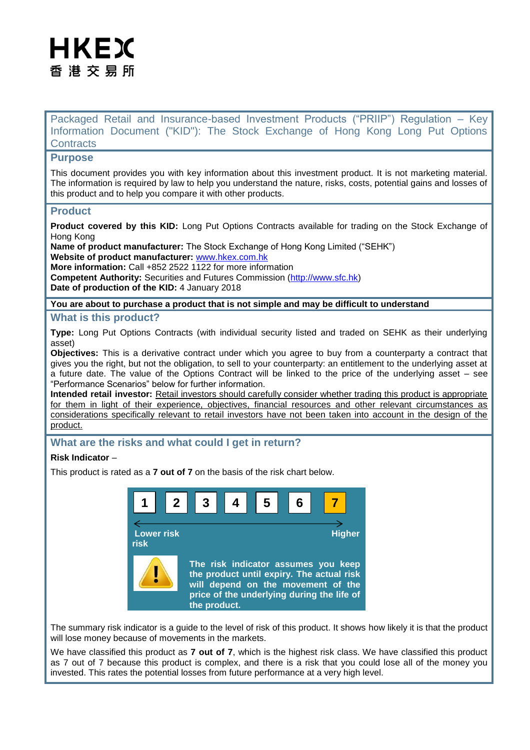# HKEX 香 港 交 易 所

Packaged Retail and Insurance-based Investment Products ("PRIIP") Regulation – Key Information Document ("KID"): The Stock Exchange of Hong Kong Long Put Options **Contracts** 

# **Purpose**

This document provides you with key information about this investment product. It is not marketing material. The information is required by law to help you understand the nature, risks, costs, potential gains and losses of this product and to help you compare it with other products.

## **Product**

**Product covered by this KID:** Long Put Options Contracts available for trading on the Stock Exchange of Hong Kong

**Name of product manufacturer:** The Stock Exchange of Hong Kong Limited ("SEHK") **Website of product manufacturer:** [www.hkex.com.hk](http://www.hkex.com.hk/)

**More information:** Call +852 2522 1122 for more information **Competent Authority:** Securities and Futures Commission [\(http://www.sfc.hk\)](http://www.sfc.hk/) **Date of production of the KID:** 4 January 2018

#### **You are about to purchase a product that is not simple and may be difficult to understand**

## **What is this product?**

**Type:** Long Put Options Contracts (with individual security listed and traded on SEHK as their underlying asset)

**Objectives:** This is a derivative contract under which you agree to buy from a counterparty a contract that gives you the right, but not the obligation, to sell to your counterparty: an entitlement to the underlying asset at a future date. The value of the Options Contract will be linked to the price of the underlying asset – see "Performance Scenarios" below for further information.

**Intended retail investor:** Retail investors should carefully consider whether trading this product is appropriate for them in light of their experience, objectives, financial resources and other relevant circumstances as considerations specifically relevant to retail investors have not been taken into account in the design of the product.

## **What are the risks and what could I get in return?**

## **Risk Indicator** –

This product is rated as a **7 out of 7** on the basis of the risk chart below.



The summary risk indicator is a guide to the level of risk of this product. It shows how likely it is that the product will lose money because of movements in the markets.

We have classified this product as **7 out of 7**, which is the highest risk class. We have classified this product as 7 out of 7 because this product is complex, and there is a risk that you could lose all of the money you invested. This rates the potential losses from future performance at a very high level.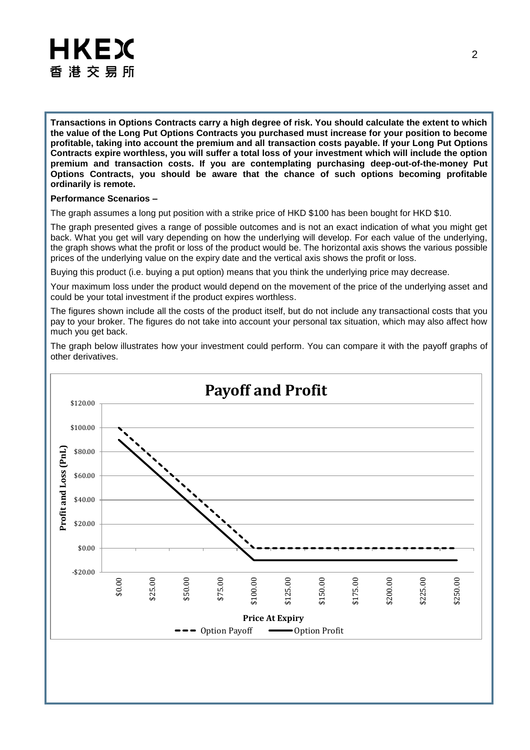

**Transactions in Options Contracts carry a high degree of risk. You should calculate the extent to which the value of the Long Put Options Contracts you purchased must increase for your position to become profitable, taking into account the premium and all transaction costs payable. If your Long Put Options Contracts expire worthless, you will suffer a total loss of your investment which will include the option premium and transaction costs. If you are contemplating purchasing deep-out-of-the-money Put Options Contracts, you should be aware that the chance of such options becoming profitable ordinarily is remote.**

#### **Performance Scenarios –**

The graph assumes a long put position with a strike price of HKD \$100 has been bought for HKD \$10.

The graph presented gives a range of possible outcomes and is not an exact indication of what you might get back. What you get will vary depending on how the underlying will develop. For each value of the underlying, the graph shows what the profit or loss of the product would be. The horizontal axis shows the various possible prices of the underlying value on the expiry date and the vertical axis shows the profit or loss.

Buying this product (i.e. buying a put option) means that you think the underlying price may decrease.

Your maximum loss under the product would depend on the movement of the price of the underlying asset and could be your total investment if the product expires worthless.

The figures shown include all the costs of the product itself, but do not include any transactional costs that you pay to your broker. The figures do not take into account your personal tax situation, which may also affect how much you get back.

The graph below illustrates how your investment could perform. You can compare it with the payoff graphs of other derivatives.